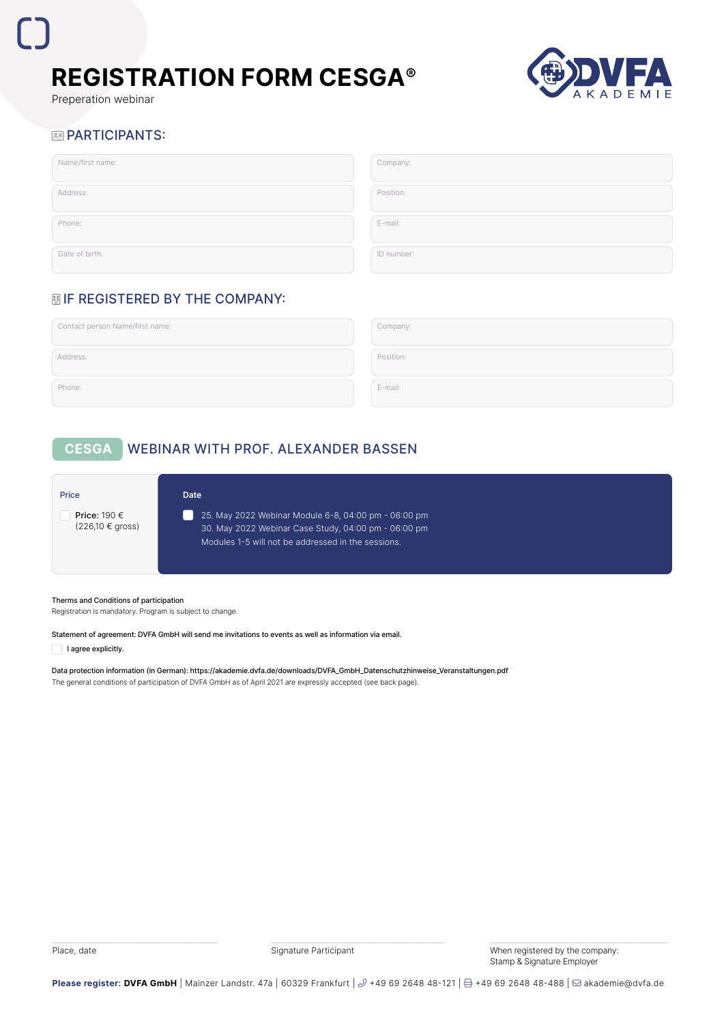

Preperation webinar

## **BE PARTICIPANTS:**

| Name/first name: | Company:   |
|------------------|------------|
| Address:         | Position:  |
| Phone:           | E-mail:    |
| Date of birth:   | ID number: |

## **| IF REGISTERED BY THE COMPANY:**

| Contact person Name/first name: | Company:  |
|---------------------------------|-----------|
| Address:                        | Position: |
| Phone:                          | E-mail:   |

# **CESGA** WEBINAR WITH PROF. ALEXANDER BASSEN

| Price                                           | <b>Date</b>                                                                                                                                                        |
|-------------------------------------------------|--------------------------------------------------------------------------------------------------------------------------------------------------------------------|
| Price: 190 $\in$<br>$(226,10 \in \text{gross})$ | 25. May 2022 Webinar Module 6-8, 04:00 pm - 06:00 pm<br>30. May 2022 Webinar Case Study, 04:00 pm - 06:00 pm<br>Modules 1-5 will not be addressed in the sessions. |

### Therms and Conditions of participation

Registration is mandatory. Program is subject to change.

### Statement of agreement: DVFA GmbH will send me invitations to events as well as information via email.

I agree explicitly.

Data protection information (in German): https://akademie.dvfa.de/downloads/DVFA\_GmbH\_Datenschutzhinweise\_Veranstaltungen.pdf The general conditions of participation of DVFA GmbH as of April 2021 are expressly accepted (see back page).

Place, date **Signature Participant** Signature Participant When registered by the company: Stamp & Signature Employer

Please register: DVFA GmbH | Mainzer Landstr. 47a | 60329 Frankfurt |  $\mathcal{I}$  +49 69 2648 48-121 | **A** +49 69 2648 48-488 | ⊠akademie@dvfa.de